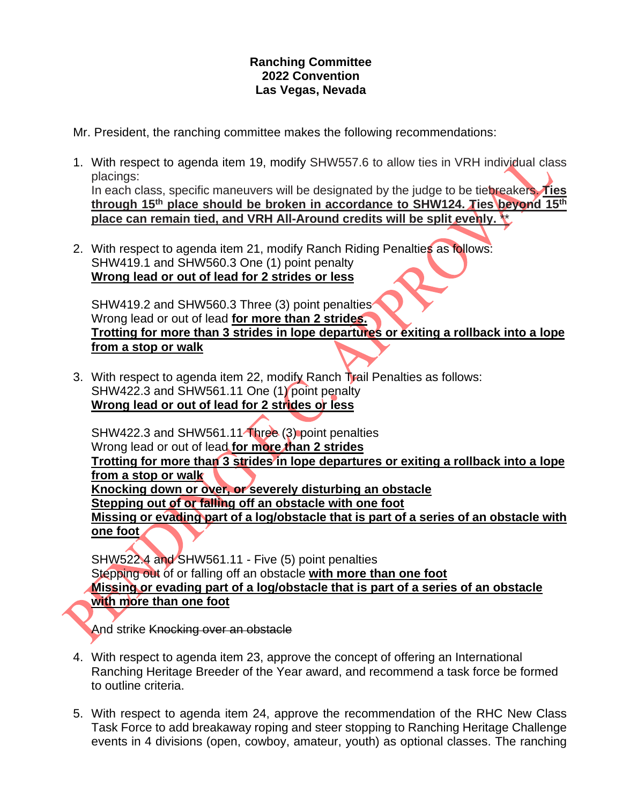## **Ranching Committee 2022 Convention Las Vegas, Nevada**

Mr. President, the ranching committee makes the following recommendations:

- 1. With respect to agenda item 19, modify SHW557.6 to allow ties in VRH individual class placings: In each class, specific maneuvers will be designated by the judge to be tiebreakers. **Ties through 15th place should be broken in accordance to SHW124. Ties beyond 15th place can remain tied, and VRH All-Around credits will be split evenly.** \*\*
- 2. With respect to agenda item 21, modify Ranch Riding Penalties as follows: SHW419.1 and SHW560.3 One (1) point penalty **Wrong lead or out of lead for 2 strides or less**

SHW419.2 and SHW560.3 Three (3) point penalties Wrong lead or out of lead **for more than 2 strides. Trotting for more than 3 strides in lope departures or exiting a rollback into a lope from a stop or walk**

3. With respect to agenda item 22, modify Ranch Trail Penalties as follows: SHW422.3 and SHW561.11 One (1) point penalty **Wrong lead or out of lead for 2 strides or less**

SHW422.3 and SHW561.11<sup>-Three</sup> (3) point penalties Wrong lead or out of lead **for more than 2 strides Trotting for more than 3 strides in lope departures or exiting a rollback into a lope from a stop or walk Knocking down or over, or severely disturbing an obstacle Stepping out of or falling off an obstacle with one foot Missing or evading part of a log/obstacle that is part of a series of an obstacle with one foot**

SHW522.4 and SHW561.11 - Five (5) point penalties Stepping out of or falling off an obstacle **with more than one foot Missing or evading part of a log/obstacle that is part of a series of an obstacle with more than one foot**

And strike Knocking over an obstacle

- 4. With respect to agenda item 23, approve the concept of offering an International Ranching Heritage Breeder of the Year award, and recommend a task force be formed to outline criteria.
- 5. With respect to agenda item 24, approve the recommendation of the RHC New Class Task Force to add breakaway roping and steer stopping to Ranching Heritage Challenge events in 4 divisions (open, cowboy, amateur, youth) as optional classes. The ranching